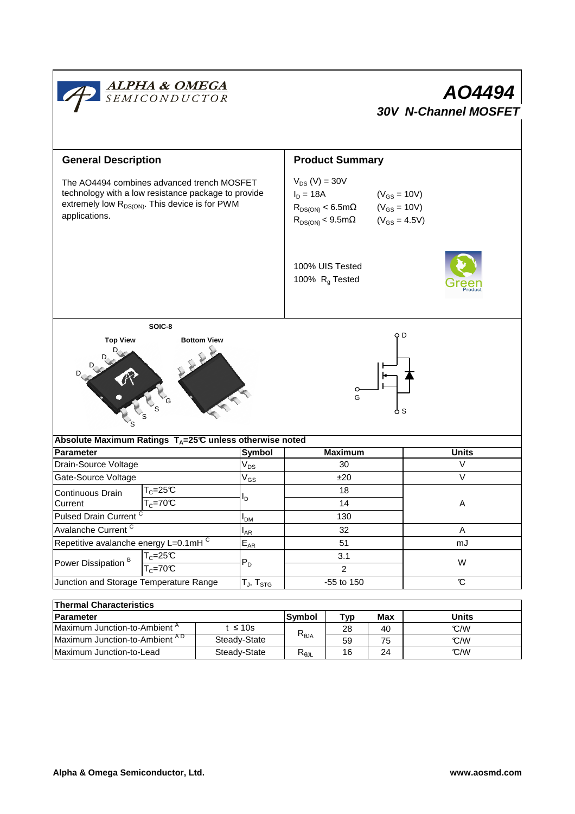

| Thermal Unaracteristics          |               |                |     |          |       |  |  |  |  |
|----------------------------------|---------------|----------------|-----|----------|-------|--|--|--|--|
| <b>Parameter</b>                 |               | <b>Symbol</b>  | Typ | Max      | Units |  |  |  |  |
| Maximum Junction-to-Ambient "    | t $\leq 10$ s | $R_{\theta$ JA | 28  | 40       | C/W   |  |  |  |  |
| Maximum Junction-to-Ambient AD   | Steady-State  |                | 59  | 75       | C/W   |  |  |  |  |
| <b>IMaximum Junction-to-Lead</b> | Steady-State  | ৲ፀ⅃Լ           | 16  | 24<br>-- | C/W   |  |  |  |  |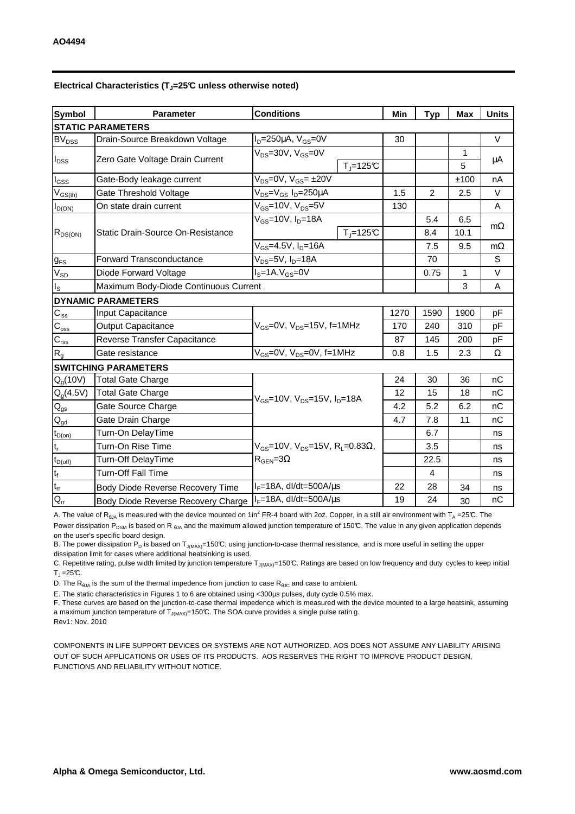| <b>Symbol</b>               | <b>Conditions</b><br><b>Parameter</b> |                                                               | Min  | <b>Typ</b>     | <b>Max</b> | <b>Units</b> |  |  |  |  |
|-----------------------------|---------------------------------------|---------------------------------------------------------------|------|----------------|------------|--------------|--|--|--|--|
| <b>STATIC PARAMETERS</b>    |                                       |                                                               |      |                |            |              |  |  |  |  |
| $BV_{DSS}$                  | Drain-Source Breakdown Voltage        | $ID=250\mu A$ , $VGS=0V$                                      | 30   |                |            | $\vee$       |  |  |  |  |
| $I_{DSS}$                   |                                       | $V_{DS}$ =30V, $V_{GS}$ =0V                                   |      |                | 1          |              |  |  |  |  |
|                             | Zero Gate Voltage Drain Current       | $T_{\text{J}}$ =125°C                                         |      |                | 5          | μA           |  |  |  |  |
| $I_{GSS}$                   | Gate-Body leakage current             | $V_{DS} = 0V$ , $V_{GS} = \pm 20V$                            |      |                | ±100       | nA           |  |  |  |  |
| $V_{GS(th)}$                | Gate Threshold Voltage                | V <sub>DS</sub> =V <sub>GS</sub> I <sub>D</sub> =250µA        | 1.5  | $\overline{2}$ | 2.5        | V            |  |  |  |  |
| $I_{D(ON)}$                 | On state drain current                | $V_{GS}$ =10V, $V_{DS}$ =5V                                   | 130  |                |            | A            |  |  |  |  |
| $R_{DS(ON)}$                |                                       | $V_{GS}$ =10V, $I_D$ =18A                                     |      | 5.4            | 6.5        |              |  |  |  |  |
|                             | Static Drain-Source On-Resistance     | $T_{\text{J}}$ =125°C                                         |      | 8.4            | 10.1       | $m\Omega$    |  |  |  |  |
|                             |                                       | $V_{GS} = 4.5V, I_D = 16A$                                    |      | 7.5            | 9.5        | $m\Omega$    |  |  |  |  |
| $g_{FS}$                    | <b>Forward Transconductance</b>       | V <sub>DS</sub> =5V, I <sub>D</sub> =18A                      |      | 70             |            | S            |  |  |  |  |
| $V_{SD}$                    | Diode Forward Voltage                 | $IS=1A, VGS=0V$                                               |      | 0.75           | 1          | V            |  |  |  |  |
| $I_{\rm S}$                 | Maximum Body-Diode Continuous Current |                                                               |      | 3              | Α          |              |  |  |  |  |
|                             | <b>DYNAMIC PARAMETERS</b>             |                                                               |      |                |            |              |  |  |  |  |
| $\mathbf{C}_{\text{iss}}$   | Input Capacitance                     |                                                               | 1270 | 1590           | 1900       | pF           |  |  |  |  |
| $\mathbf{C}_{\mathrm{oss}}$ | Output Capacitance                    | $V_{GS}$ =0V, $V_{DS}$ =15V, f=1MHz                           | 170  | 240            | 310        | pF           |  |  |  |  |
| $\mathbf{C}_{\text{rss}}$   | Reverse Transfer Capacitance          |                                                               | 87   | 145            | 200        | рF           |  |  |  |  |
| $R_{g}$                     | Gate resistance                       | V <sub>GS</sub> =0V, V <sub>DS</sub> =0V, f=1MHz              | 0.8  | 1.5            | 2.3        | Ω            |  |  |  |  |
|                             | <b>SWITCHING PARAMETERS</b>           |                                                               |      |                |            |              |  |  |  |  |
| Q <sub>g</sub> (10V)        | <b>Total Gate Charge</b>              |                                                               | 24   | 30             | 36         | nC           |  |  |  |  |
| $Q_g(4.5V)$                 | <b>Total Gate Charge</b>              | $V_{GS}$ =10V, $V_{DS}$ =15V, $I_{D}$ =18A                    | 12   | 15             | 18         | nC           |  |  |  |  |
| $\mathsf{Q}_{\text{gs}}$    | Gate Source Charge                    |                                                               | 4.2  | 5.2            | 6.2        | nC           |  |  |  |  |
| $\mathbf{Q}_{\text{gd}}$    | Gate Drain Charge                     |                                                               | 4.7  | 7.8            | 11         | nC           |  |  |  |  |
| $t_{D(0n)}$                 | Turn-On DelayTime                     |                                                               |      | 6.7            |            | ns           |  |  |  |  |
| $\mathbf{t}_\mathrm{r}$     | Turn-On Rise Time                     | $V_{GS}$ =10V, $V_{DS}$ =15V, R <sub>L</sub> =0.83 $\Omega$ , |      | 3.5            |            | ns           |  |  |  |  |
| $t_{D(off)}$                | <b>Turn-Off DelayTime</b>             | $R_{\text{GEN}} = 3\Omega$                                    |      | 22.5           |            | ns           |  |  |  |  |
| $\mathsf{t}_{\mathsf{f}}$   | Turn-Off Fall Time                    |                                                               |      | $\overline{4}$ |            | ns           |  |  |  |  |
| $t_{rr}$                    | Body Diode Reverse Recovery Time      | $I_F = 18A$ , dl/dt=500A/ $\mu$ s                             | 22   | 28             | 34         | ns           |  |  |  |  |
| $Q_{rr}$                    | Body Diode Reverse Recovery Charge    | $I_F = 18A$ , dl/dt=500A/ $\mu$ s                             | 19   | 24             | 30         | nC           |  |  |  |  |

## **Electrical Characteristics (TJ=25°C unless otherwise noted)**

A. The value of  $R_{\theta JA}$  is measured with the device mounted on 1in<sup>2</sup> FR-4 board with 2oz. Copper, in a still air environment with T<sub>A</sub> =25℃. The Power dissipation P<sub>DSM</sub> is based on R <sub>θJA</sub> and the maximum allowed junction temperature of 150°C. The value in any given application depends on the user's specific board design.

B. The power dissipation P<sub>D</sub> is based on T<sub>J(MAX)</sub>=150°C, using junction-to-case thermal resistance, and is more useful in setting the upper dissipation limit for cases where additional heatsinking is used.

C. Repetitive rating, pulse width limited by junction temperature T<sub>J(MAX)</sub>=150°C. Ratings are based on low frequency and duty cycles to keep initial  $T_J = 25^{\circ}C$ .

D. The  $R_{h1A}$  is the sum of the thermal impedence from junction to case  $R_{h1C}$  and case to ambient.

E. The static characteristics in Figures 1 to 6 are obtained using <300µs pulses, duty cycle 0.5% max.

F. These curves are based on the junction-to-case thermal impedence which is measured with the device mounted to a large heatsink, assuming a maximum junction temperature of  $T_{J(MAX)}$ =150°C. The SOA curve provides a single pulse ratin g.

Rev1: Nov. 2010

COMPONENTS IN LIFE SUPPORT DEVICES OR SYSTEMS ARE NOT AUTHORIZED. AOS DOES NOT ASSUME ANY LIABILITY ARISING OUT OF SUCH APPLICATIONS OR USES OF ITS PRODUCTS. AOS RESERVES THE RIGHT TO IMPROVE PRODUCT DESIGN, FUNCTIONS AND RELIABILITY WITHOUT NOTICE.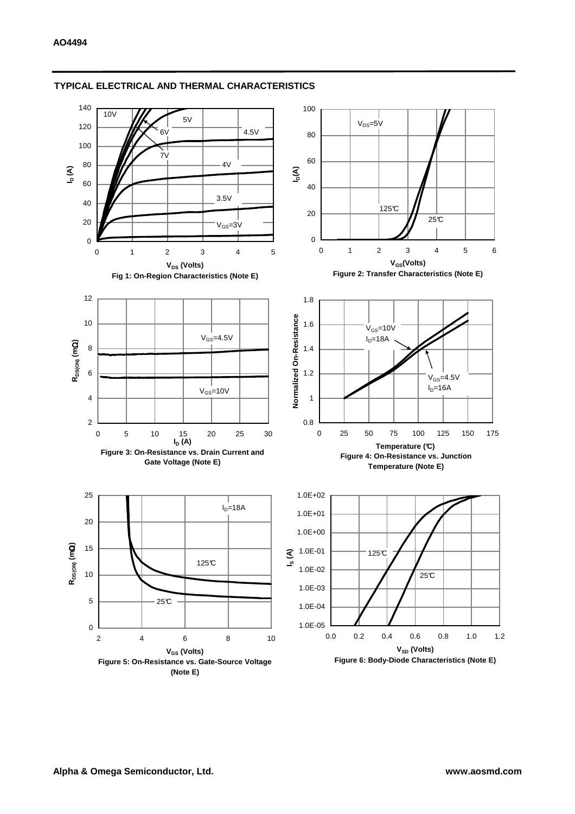

### **TYPICAL ELECTRICAL AND THERMAL CHARACTERISTICS**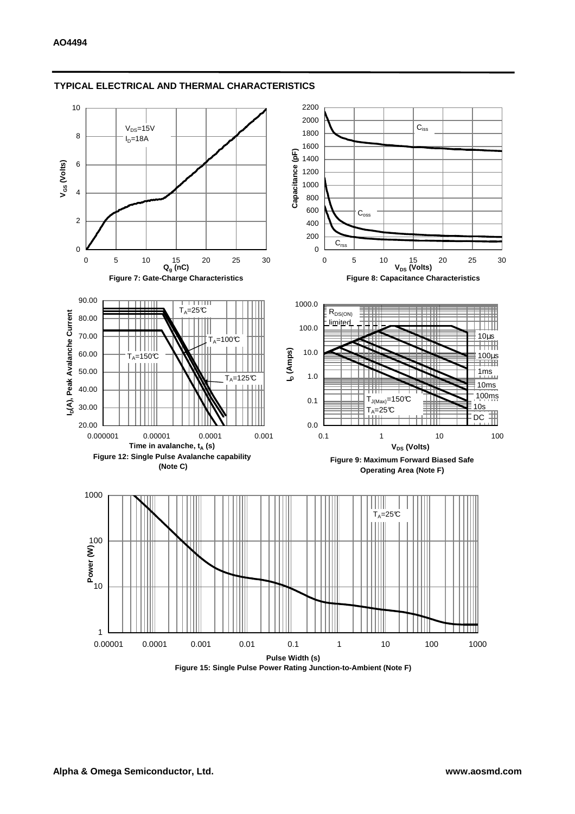

#### **TYPICAL ELECTRICAL AND THERMAL CHARACTERISTICS**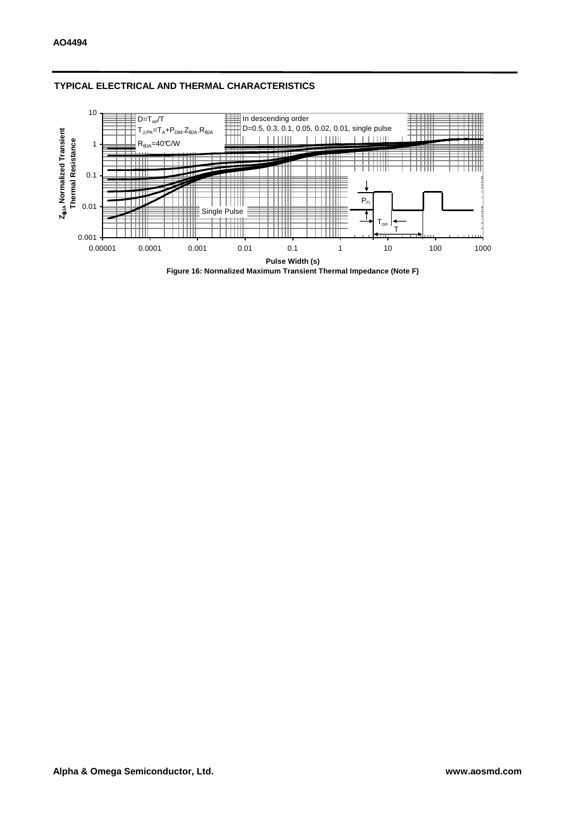

## **TYPICAL ELECTRICAL AND THERMAL CHARACTERISTICS**